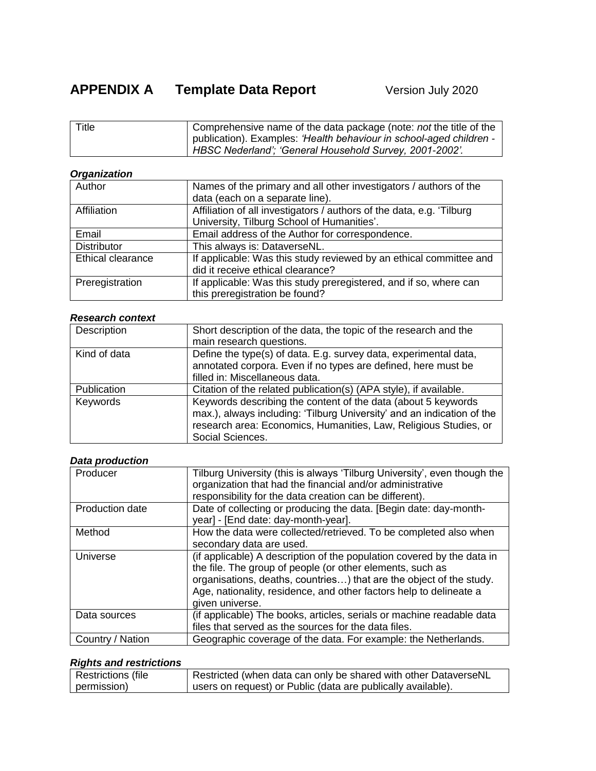| Title | Comprehensive name of the data package (note: <i>not</i> the title of the |
|-------|---------------------------------------------------------------------------|
|       | publication). Examples: 'Health behaviour in school-aged children -       |
|       | HBSC Nederland': 'General Household Survey, 2001-2002'.                   |

# *Organization*

| Author             | Names of the primary and all other investigators / authors of the      |
|--------------------|------------------------------------------------------------------------|
|                    | data (each on a separate line).                                        |
| Affiliation        | Affiliation of all investigators / authors of the data, e.g. 'Tilburg' |
|                    | University, Tilburg School of Humanities'.                             |
| Email              | Email address of the Author for correspondence.                        |
| <b>Distributor</b> | This always is: DataverseNL.                                           |
| Ethical clearance  | If applicable: Was this study reviewed by an ethical committee and     |
|                    | did it receive ethical clearance?                                      |
| Preregistration    | If applicable: Was this study preregistered, and if so, where can      |
|                    | this preregistration be found?                                         |

#### *Research context*

| Description  | Short description of the data, the topic of the research and the<br>main research questions.                                                                                                                                    |
|--------------|---------------------------------------------------------------------------------------------------------------------------------------------------------------------------------------------------------------------------------|
| Kind of data | Define the type(s) of data. E.g. survey data, experimental data,<br>annotated corpora. Even if no types are defined, here must be<br>filled in: Miscellaneous data.                                                             |
| Publication  | Citation of the related publication(s) (APA style), if available.                                                                                                                                                               |
| Keywords     | Keywords describing the content of the data (about 5 keywords<br>max.), always including: 'Tilburg University' and an indication of the<br>research area: Economics, Humanities, Law, Religious Studies, or<br>Social Sciences. |

#### *Data production*

| Producer         | Tilburg University (this is always 'Tilburg University', even though the<br>organization that had the financial and/or administrative<br>responsibility for the data creation can be different).                                                                                                    |
|------------------|-----------------------------------------------------------------------------------------------------------------------------------------------------------------------------------------------------------------------------------------------------------------------------------------------------|
| Production date  | Date of collecting or producing the data. [Begin date: day-month-<br>year] - [End date: day-month-year].                                                                                                                                                                                            |
| Method           | How the data were collected/retrieved. To be completed also when<br>secondary data are used.                                                                                                                                                                                                        |
| Universe         | (if applicable) A description of the population covered by the data in<br>the file. The group of people (or other elements, such as<br>organisations, deaths, countries) that are the object of the study.<br>Age, nationality, residence, and other factors help to delineate a<br>given universe. |
| Data sources     | (if applicable) The books, articles, serials or machine readable data<br>files that served as the sources for the data files.                                                                                                                                                                       |
| Country / Nation | Geographic coverage of the data. For example: the Netherlands.                                                                                                                                                                                                                                      |

## *Rights and restrictions*

| Restrictions (file | Restricted (when data can only be shared with other DataverseNL |
|--------------------|-----------------------------------------------------------------|
| permission)        | users on request) or Public (data are publically available).    |